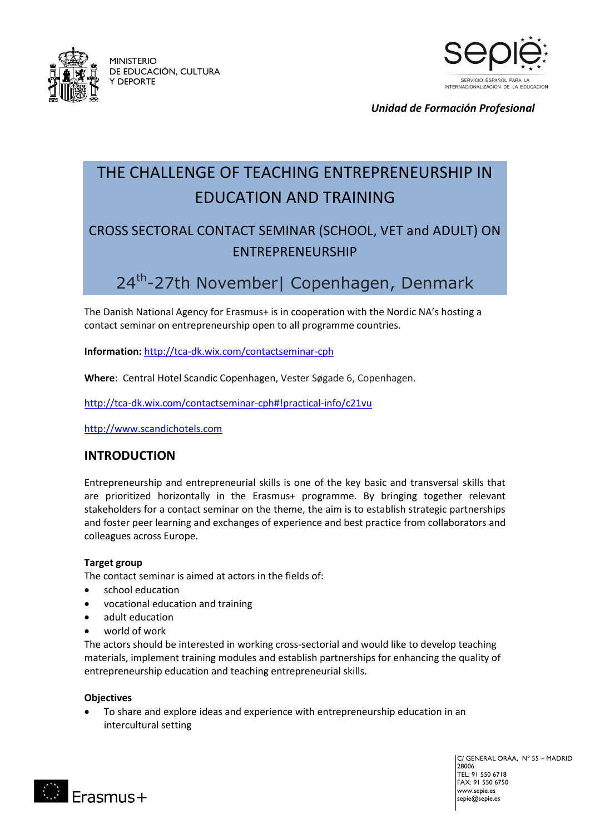

MINISTERIO DE EDUCACIÓN, CULTURA Y DEPORTE



*Unidad de Formación Profesional*

# THE CHALLENGE OF TEACHING ENTREPRENEURSHIP IN EDUCATION AND TRAINING

## CROSS SECTORAL CONTACT SEMINAR (SCHOOL, VET and ADULT) ON ENTREPRENEURSHIP

## 24<sup>th</sup>-27th November| Copenhagen, Denmark

The Danish National Agency for Erasmus+ is in cooperation with the Nordic NA's hosting a contact seminar on entrepreneurship open to all programme countries.

**Information:** <http://tca-dk.wix.com/contactseminar-cph>

**Where**: Central Hotel Scandic Copenhagen, Vester Søgade 6, Copenhagen.

<http://tca-dk.wix.com/contactseminar-cph#!practical-info/c21vu>

[http://www.scandichotels.com](http://www.scandichotels.com/)

### **INTRODUCTION**

Entrepreneurship and entrepreneurial skills is one of the key basic and transversal skills that are prioritized horizontally in the Erasmus+ programme. By bringing together relevant stakeholders for a contact seminar on the theme, the aim is to establish strategic partnerships and foster peer learning and exchanges of experience and best practice from collaborators and colleagues across Europe.

#### **Target group**

The contact seminar is aimed at actors in the fields of:

- school education
- vocational education and training
- adult education
- world of work

The actors should be interested in working cross-sectorial and would like to develop teaching materials, implement training modules and establish partnerships for enhancing the quality of entrepreneurship education and teaching entrepreneurial skills.

#### **Objectives**

 $Frasmus+$ 

 To share and explore ideas and experience with entrepreneurship education in an intercultural setting

> C/ GENERAL ORÁA, Nº 55 – MADRID 28006 TEL: 91 550 6718 FAX: 91 550 6750 www.sepie.es  $\mathsf{sepie}$ .es